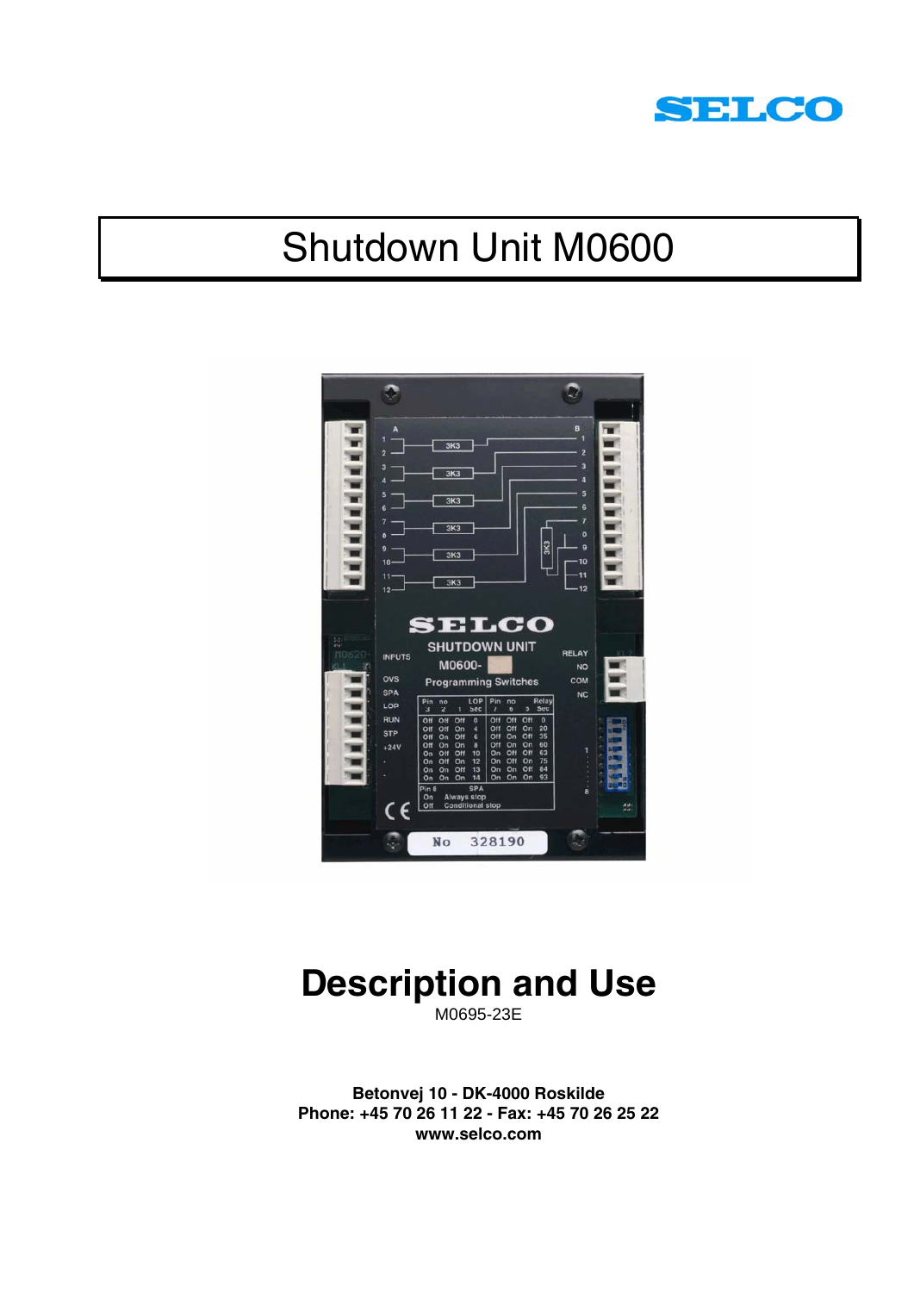

# Shutdown Unit M0600



# **Description and Use**

M0695-23E

**Betonvej 10 - DK-4000 Roskilde Phone: +45 70 26 11 22 - Fax: +45 70 26 25 22 www.selco.com**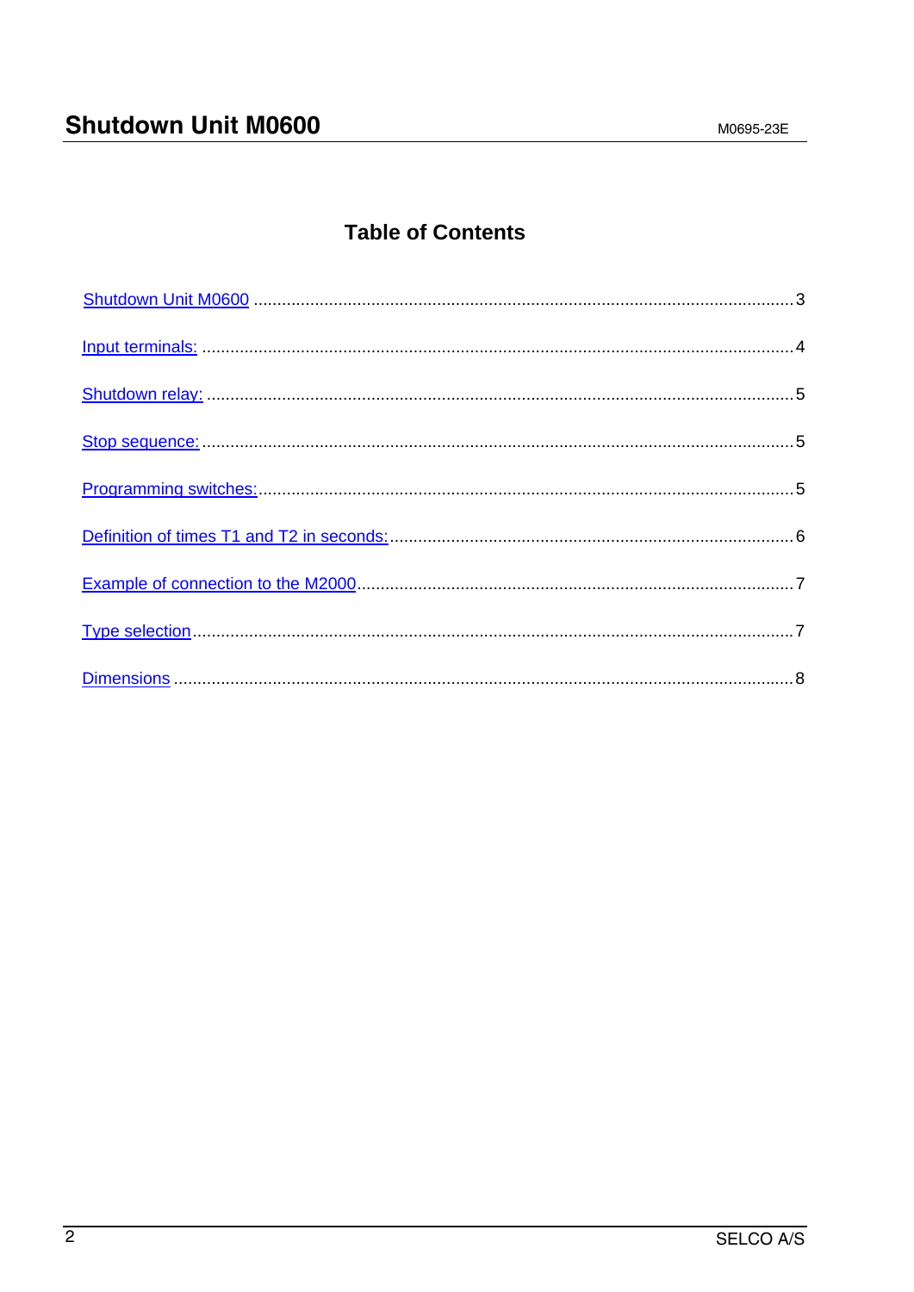# **Table of Contents**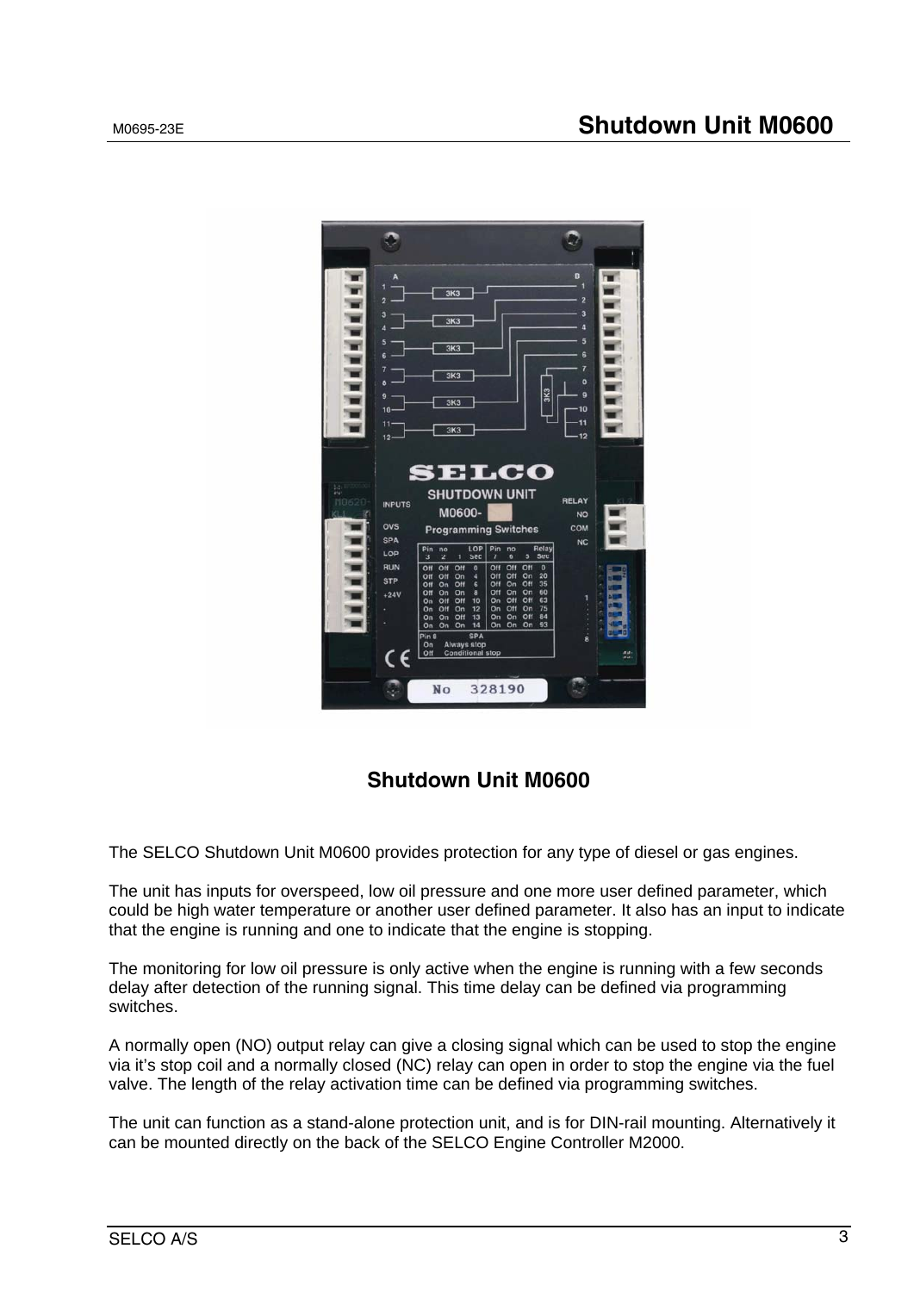

## **Shutdown Unit M0600**

The SELCO Shutdown Unit M0600 provides protection for any type of diesel or gas engines.

The unit has inputs for overspeed, low oil pressure and one more user defined parameter, which could be high water temperature or another user defined parameter. It also has an input to indicate that the engine is running and one to indicate that the engine is stopping.

The monitoring for low oil pressure is only active when the engine is running with a few seconds delay after detection of the running signal. This time delay can be defined via programming switches.

A normally open (NO) output relay can give a closing signal which can be used to stop the engine via it's stop coil and a normally closed (NC) relay can open in order to stop the engine via the fuel valve. The length of the relay activation time can be defined via programming switches.

The unit can function as a stand-alone protection unit, and is for DIN-rail mounting. Alternatively it can be mounted directly on the back of the SELCO Engine Controller M2000.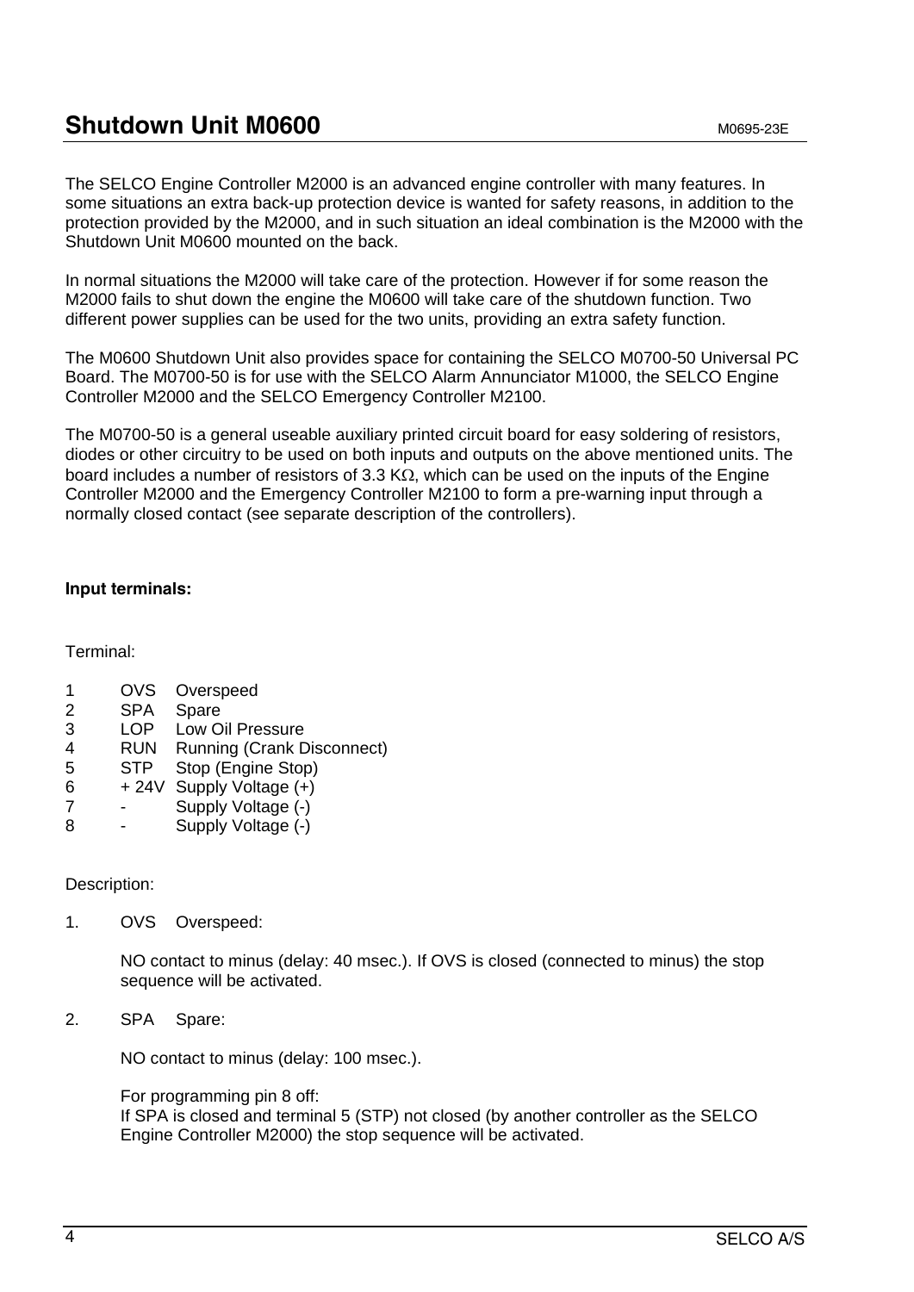# **Shutdown Unit M0600 MOGOO** MOGOS-23E

The SELCO Engine Controller M2000 is an advanced engine controller with many features. In some situations an extra back-up protection device is wanted for safety reasons, in addition to the protection provided by the M2000, and in such situation an ideal combination is the M2000 with the Shutdown Unit M0600 mounted on the back.

In normal situations the M2000 will take care of the protection. However if for some reason the M2000 fails to shut down the engine the M0600 will take care of the shutdown function. Two different power supplies can be used for the two units, providing an extra safety function.

The M0600 Shutdown Unit also provides space for containing the SELCO M0700-50 Universal PC Board. The M0700-50 is for use with the SELCO Alarm Annunciator M1000, the SELCO Engine Controller M2000 and the SELCO Emergency Controller M2100.

The M0700-50 is a general useable auxiliary printed circuit board for easy soldering of resistors, diodes or other circuitry to be used on both inputs and outputs on the above mentioned units. The board includes a number of resistors of 3.3 K $\Omega$ , which can be used on the inputs of the Engine Controller M2000 and the Emergency Controller M2100 to form a pre-warning input through a normally closed contact (see separate description of the controllers).

## **Input terminals:**

Terminal:

- 1 OVS Overspeed
- 2 SPA Spare
- 3 LOP Low Oil Pressure
- 4 RUN Running (Crank Disconnect)
- 5 STP Stop (Engine Stop)
- $6 + 24V$  Supply Voltage  $(+)$
- 7 Supply Voltage (-)
- 8 Supply Voltage (-)

### Description:

1. OVS Overspeed:

NO contact to minus (delay: 40 msec.). If OVS is closed (connected to minus) the stop sequence will be activated.

2. SPA Spare:

NO contact to minus (delay: 100 msec.).

For programming pin 8 off:

If SPA is closed and terminal 5 (STP) not closed (by another controller as the SELCO Engine Controller M2000) the stop sequence will be activated.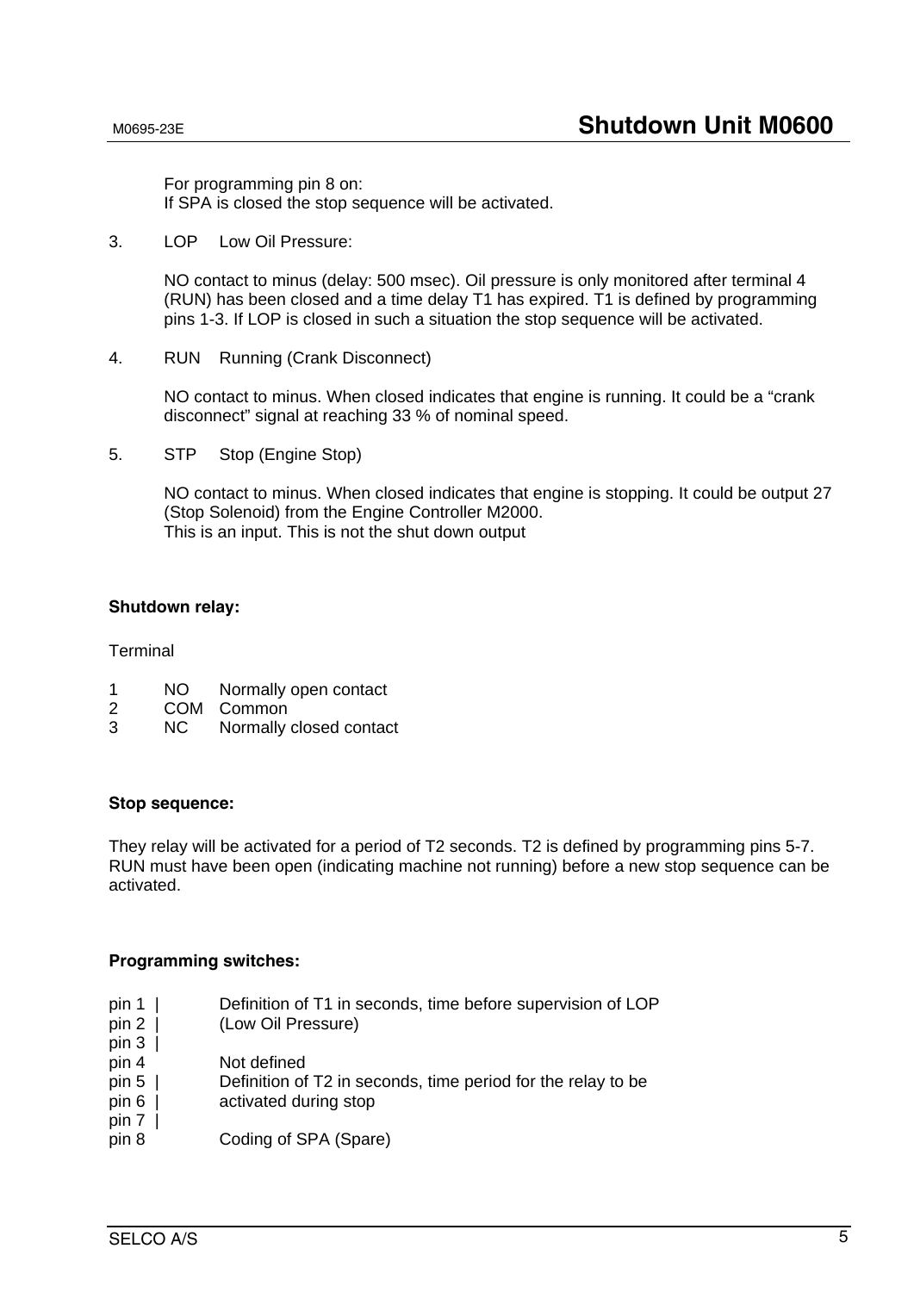For programming pin 8 on: If SPA is closed the stop sequence will be activated.

3. LOP Low Oil Pressure:

NO contact to minus (delay: 500 msec). Oil pressure is only monitored after terminal 4 (RUN) has been closed and a time delay T1 has expired. T1 is defined by programming pins 1-3. If LOP is closed in such a situation the stop sequence will be activated.

4. RUN Running (Crank Disconnect)

NO contact to minus. When closed indicates that engine is running. It could be a "crank disconnect" signal at reaching 33 % of nominal speed.

5. STP Stop (Engine Stop)

NO contact to minus. When closed indicates that engine is stopping. It could be output 27 (Stop Solenoid) from the Engine Controller M2000. This is an input. This is not the shut down output

#### **Shutdown relay:**

**Terminal** 

- 1 NO Normally open contact
- 2 COM Common
- 3 NC Normally closed contact

#### **Stop sequence:**

They relay will be activated for a period of T2 seconds. T2 is defined by programming pins 5-7. RUN must have been open (indicating machine not running) before a new stop sequence can be activated.

#### **Programming switches:**

- pin 1 | Definition of T1 in seconds, time before supervision of LOP
- pin 2 | (Low Oil Pressure)
- pin  $3 \mid$ pin 4 Not defined
- pin 5 | Definition of T2 in seconds, time period for the relay to be
- pin 6 | activated during stop
- $pin 7$  |
- pin 8 Coding of SPA (Spare)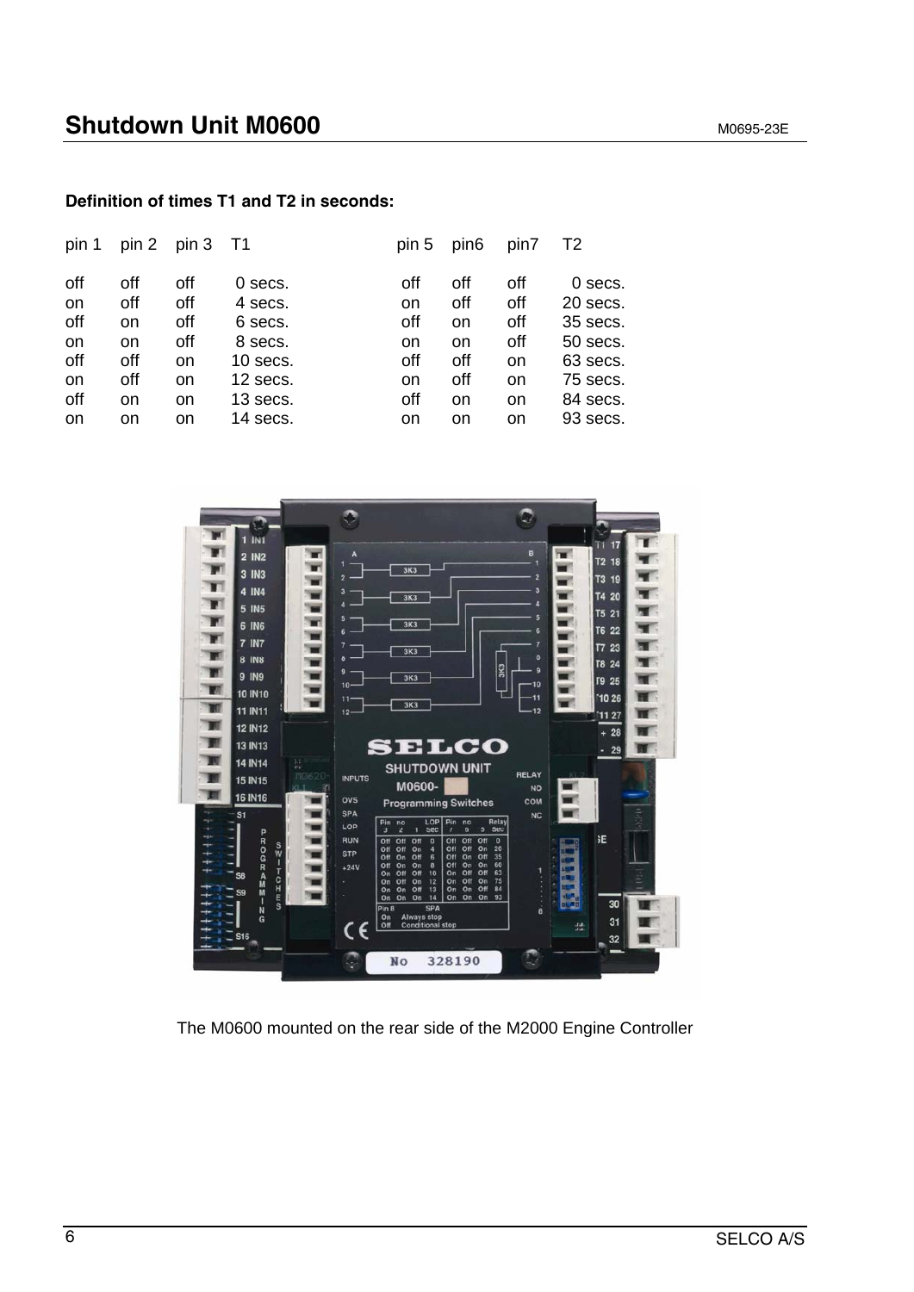## **Definition of times T1 and T2 in seconds:**

| pin 1                                                                        |                                                  | $pin 2$ pin 3                                    | - T1                                                                                         | pin 5                                            | pin <sub>6</sub>                                 | pin7                                             | T2                                                                                          |
|------------------------------------------------------------------------------|--------------------------------------------------|--------------------------------------------------|----------------------------------------------------------------------------------------------|--------------------------------------------------|--------------------------------------------------|--------------------------------------------------|---------------------------------------------------------------------------------------------|
| off<br><b>on</b><br>off<br><b>on</b><br>off<br><b>on</b><br>off<br><b>on</b> | off<br>off<br>on<br>on<br>off<br>off<br>on<br>on | off<br>off<br>off<br>off<br>on<br>on<br>on<br>on | $0$ secs.<br>4 secs.<br>6 secs.<br>8 secs.<br>$10$ secs.<br>12 secs.<br>13 secs.<br>14 secs. | off<br>on<br>off<br>on<br>off<br>on<br>off<br>on | off<br>off<br>on<br>on<br>off<br>off<br>on<br>on | off<br>off<br>off<br>off<br>on<br>on<br>on<br>on | 0 secs.<br>20 secs.<br>35 secs.<br>50 secs.<br>63 secs.<br>75 secs.<br>84 secs.<br>93 secs. |
|                                                                              |                                                  |                                                  |                                                                                              |                                                  |                                                  |                                                  |                                                                                             |



The M0600 mounted on the rear side of the M2000 Engine Controller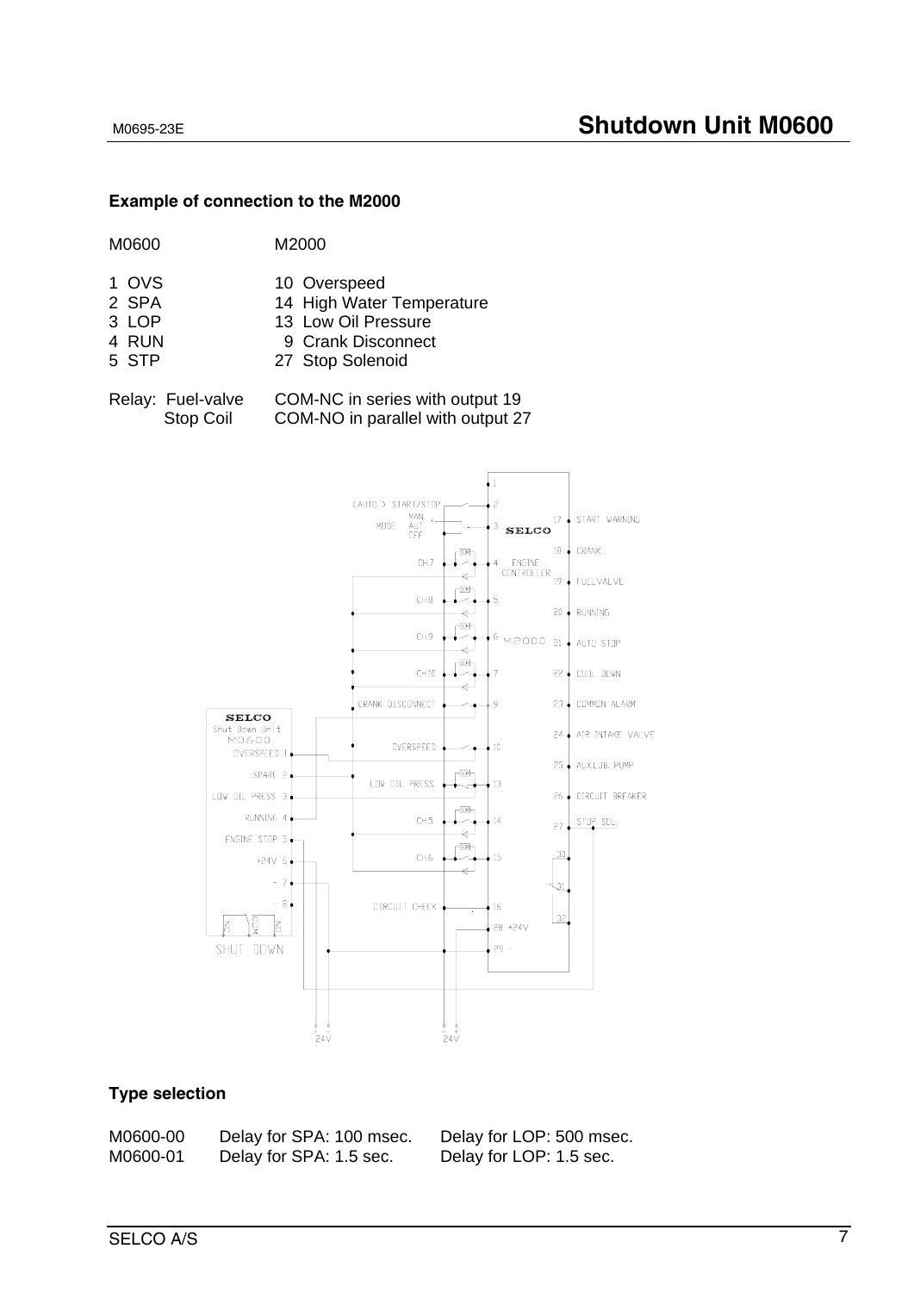#### **Example of connection to the M2000**

- 1 OVS 10 Overspeed
- 2 SPA 14 High Water Temperature
- 3 LOP 13 Low Oil Pressure
- 4 RUN 9 Crank Disconnect
- 5 STP 27 Stop Solenoid

Relay: Fuel-valve COM-NC in series with output 19 Stop Coil COM-NO in parallel with output 27



## **Type selection**

| M0600-00 | Delay for SPA: 100 msec. |
|----------|--------------------------|
| M0600-01 | Delay for SPA: 1.5 sec.  |

Delay for LOP: 500 msec. Delay for LOP: 1.5 sec.